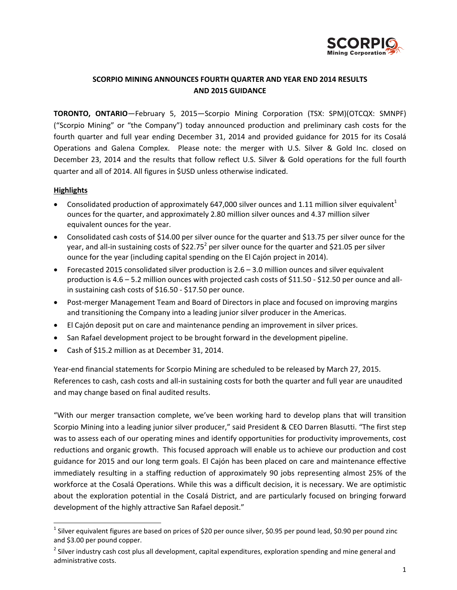

# **SCORPIO MINING ANNOUNCES FOURTH QUARTER AND YEAR END 2014 RESULTS AND 2015 GUIDANCE**

**TORONTO, ONTARIO**—February 5, 2015—Scorpio Mining Corporation (TSX: SPM)(OTCQX: SMNPF) ("Scorpio Mining" or "the Company") today announced production and preliminary cash costs for the fourth quarter and full year ending December 31, 2014 and provided guidance for 2015 for its Cosalá Operations and Galena Complex. Please note: the merger with U.S. Silver & Gold Inc. closed on December 23, 2014 and the results that follow reflect U.S. Silver & Gold operations for the full fourth quarter and all of 2014. All figures in \$USD unless otherwise indicated.

### **Highlights**

 $\overline{a}$ 

- Consolidated production of approximately 647,000 silver ounces and 1.11 million silver equivalent<sup>1</sup> ounces for the quarter, and approximately 2.80 million silver ounces and 4.37 million silver equivalent ounces for the year.
- Consolidated cash costs of \$14.00 per silver ounce for the quarter and \$13.75 per silver ounce for the year, and all-in sustaining costs of  $$22.75<sup>2</sup>$  per silver ounce for the quarter and \$21.05 per silver ounce for the year (including capital spending on the El Cajón project in 2014).
- Forecasted 2015 consolidated silver production is 2.6 3.0 million ounces and silver equivalent production is 4.6 – 5.2 million ounces with projected cash costs of \$11.50 - \$12.50 per ounce and allin sustaining cash costs of \$16.50 ‐ \$17.50 per ounce.
- Post-merger Management Team and Board of Directors in place and focused on improving margins and transitioning the Company into a leading junior silver producer in the Americas.
- El Cajón deposit put on care and maintenance pending an improvement in silver prices.
- San Rafael development project to be brought forward in the development pipeline.
- Cash of \$15.2 million as at December 31, 2014.

Year-end financial statements for Scorpio Mining are scheduled to be released by March 27, 2015. References to cash, cash costs and all-in sustaining costs for both the quarter and full year are unaudited and may change based on final audited results.

"With our merger transaction complete, we've been working hard to develop plans that will transition Scorpio Mining into a leading junior silver producer," said President & CEO Darren Blasutti. "The first step was to assess each of our operating mines and identify opportunities for productivity improvements, cost reductions and organic growth. This focused approach will enable us to achieve our production and cost guidance for 2015 and our long term goals. El Cajón has been placed on care and maintenance effective immediately resulting in a staffing reduction of approximately 90 jobs representing almost 25% of the workforce at the Cosalá Operations. While this was a difficult decision, it is necessary. We are optimistic about the exploration potential in the Cosalá District, and are particularly focused on bringing forward development of the highly attractive San Rafael deposit."

<sup>&</sup>lt;sup>1</sup> Silver equivalent figures are based on prices of \$20 per ounce silver, \$0.95 per pound lead, \$0.90 per pound zinc and \$3.00 per pound copper.

 $2$  Silver industry cash cost plus all development, capital expenditures, exploration spending and mine general and administrative costs.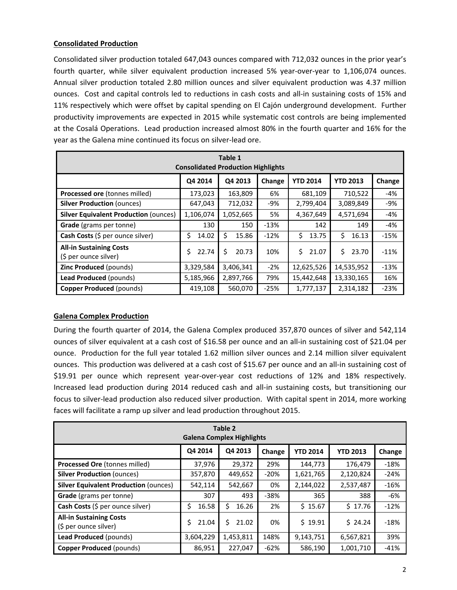### **Consolidated Production**

Consolidated silver production totaled 647,043 ounces compared with 712,032 ounces in the prior year's fourth quarter, while silver equivalent production increased 5% year-over-year to 1,106,074 ounces. Annual silver production totaled 2.80 million ounces and silver equivalent production was 4.37 million ounces. Cost and capital controls led to reductions in cash costs and all-in sustaining costs of 15% and 11% respectively which were offset by capital spending on El Cajón underground development. Further productivity improvements are expected in 2015 while systematic cost controls are being implemented at the Cosalá Operations. Lead production increased almost 80% in the fourth quarter and 16% for the year as the Galena mine continued its focus on silver‐lead ore.

| Table 1<br><b>Consolidated Production Highlights</b>    |                    |             |        |                 |                 |        |  |
|---------------------------------------------------------|--------------------|-------------|--------|-----------------|-----------------|--------|--|
|                                                         | Q4 2014            | Q4 2013     | Change | <b>YTD 2014</b> | <b>YTD 2013</b> | Change |  |
| Processed ore (tonnes milled)                           | 173,023<br>163,809 |             | 6%     | 681,109         | 710,522         | -4%    |  |
| <b>Silver Production (ounces)</b>                       | 647,043<br>712,032 |             | -9%    | 2,799,404       | 3,089,849       | -9%    |  |
| <b>Silver Equivalent Production (ounces)</b>            | 1,106,074          | 1,052,665   | 5%     | 4,367,649       | 4,571,694       | -4%    |  |
| Grade (grams per tonne)                                 | 130                | 150         | $-13%$ | 142             | 149             | -4%    |  |
| Cash Costs (\$ per ounce silver)                        | \$<br>14.02        | \$<br>15.86 | $-12%$ | Ś.<br>13.75     | Ś.<br>16.13     | $-15%$ |  |
| <b>All-in Sustaining Costs</b><br>(\$ per ounce silver) | \$<br>22.74        | \$<br>20.73 | 10%    | Ś.<br>21.07     | Ś.<br>23.70     | $-11%$ |  |
| <b>Zinc Produced (pounds)</b>                           | 3,329,584          | 3,406,341   | $-2%$  | 12,625,526      | 14,535,952      | $-13%$ |  |
| Lead Produced (pounds)                                  | 5,185,966          | 2,897,766   | 79%    | 15,442,648      | 13,330,165      | 16%    |  |
| <b>Copper Produced (pounds)</b>                         | 419,108            | 560,070     | $-25%$ | 1,777,137       | 2,314,182       | $-23%$ |  |

### **Galena Complex Production**

During the fourth quarter of 2014, the Galena Complex produced 357,870 ounces of silver and 542,114 ounces of silver equivalent at a cash cost of \$16.58 per ounce and an all‐in sustaining cost of \$21.04 per ounce. Production for the full year totaled 1.62 million silver ounces and 2.14 million silver equivalent ounces. This production was delivered at a cash cost of \$15.67 per ounce and an all-in sustaining cost of \$19.91 per ounce which represent year-over-year cost reductions of 12% and 18% respectively. Increased lead production during 2014 reduced cash and all‐in sustaining costs, but transitioning our focus to silver‐lead production also reduced silver production. With capital spent in 2014, more working faces will facilitate a ramp up silver and lead production throughout 2015.

| Table 2<br><b>Galena Complex Highlights</b>             |             |             |        |                 |                 |        |  |
|---------------------------------------------------------|-------------|-------------|--------|-----------------|-----------------|--------|--|
|                                                         | Q4 2014     | Q4 2013     | Change | <b>YTD 2014</b> | <b>YTD 2013</b> | Change |  |
| Processed Ore (tonnes milled)                           | 37,976      | 29,372      | 29%    | 144,773         | 176,479         | $-18%$ |  |
| <b>Silver Production (ounces)</b>                       | 357,870     | 449,652     | $-20%$ | 1,621,765       | 2,120,824       | $-24%$ |  |
| <b>Silver Equivalent Production (ounces)</b>            | 542,114     | 542,667     | 0%     | 2,144,022       | 2,537,487       | $-16%$ |  |
| <b>Grade</b> (grams per tonne)                          | 307         | 493         | $-38%$ | 365             | 388             | $-6%$  |  |
| Cash Costs (\$ per ounce silver)                        | Ś.<br>16.58 | 16.26<br>Ś. | 2%     | \$15.67         | \$17.76         | $-12%$ |  |
| <b>All-in Sustaining Costs</b><br>(\$ per ounce silver) | Ś.<br>21.04 | Ś.<br>21.02 | 0%     | \$19.91         | \$24.24         | $-18%$ |  |
| Lead Produced (pounds)                                  | 3,604,229   | 1,453,811   | 148%   | 9,143,751       | 6,567,821       | 39%    |  |
| <b>Copper Produced (pounds)</b>                         | 86,951      | 227,047     | $-62%$ | 586,190         | 1,001,710       | $-41%$ |  |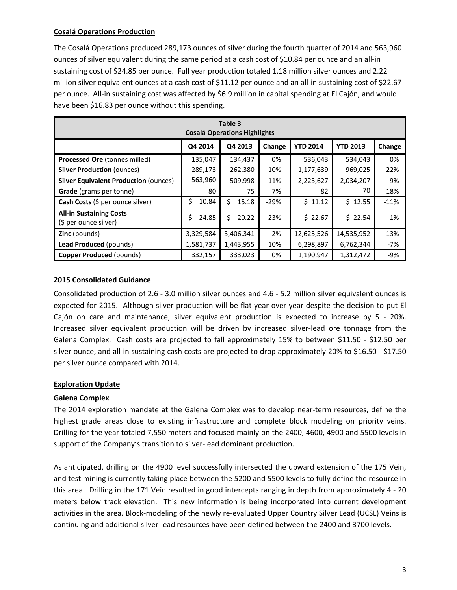## **Cosalá Operations Production**

The Cosalá Operations produced 289,173 ounces of silver during the fourth quarter of 2014 and 563,960 ounces of silver equivalent during the same period at a cash cost of \$10.84 per ounce and an all‐in sustaining cost of \$24.85 per ounce. Full year production totaled 1.18 million silver ounces and 2.22 million silver equivalent ounces at a cash cost of \$11.12 per ounce and an all-in sustaining cost of \$22.67 per ounce. All‐in sustaining cost was affected by \$6.9 million in capital spending at El Cajón, and would have been \$16.83 per ounce without this spending.

| Table 3<br><b>Cosalá Operations Highlights</b>          |             |                                                         |        |            |            |        |
|---------------------------------------------------------|-------------|---------------------------------------------------------|--------|------------|------------|--------|
|                                                         | Q4 2014     | Q4 2013<br>Change<br><b>YTD 2014</b><br><b>YTD 2013</b> |        |            |            |        |
| Processed Ore (tonnes milled)                           | 135,047     | 134,437                                                 | 0%     | 536,043    | 534,043    | 0%     |
| <b>Silver Production (ounces)</b>                       | 289,173     | 262,380                                                 | 10%    | 1,177,639  | 969,025    | 22%    |
| <b>Silver Equivalent Production (ounces)</b>            | 563,960     | 509,998                                                 | 11%    | 2,223,627  | 2,034,207  | 9%     |
| <b>Grade</b> (grams per tonne)                          | 80          | 75                                                      | 7%     | 82         | 70         | 18%    |
| Cash Costs (\$ per ounce silver)                        | Ś.<br>10.84 | Ś.<br>15.18                                             | $-29%$ | \$11.12    | \$12.55    | $-11%$ |
| <b>All-in Sustaining Costs</b><br>(\$ per ounce silver) | Ś.<br>24.85 | Ś.<br>20.22                                             | 23%    | \$22.67    | \$22.54    | 1%     |
| <b>Zinc</b> (pounds)                                    | 3,329,584   | 3,406,341                                               | $-2%$  | 12,625,526 | 14,535,952 | $-13%$ |
| Lead Produced (pounds)                                  | 1,581,737   | 1,443,955                                               | 10%    | 6,298,897  | 6,762,344  | $-7%$  |
| <b>Copper Produced (pounds)</b>                         | 332,157     | 333,023                                                 | 0%     | 1,190,947  | 1,312,472  | $-9%$  |

### **2015 Consolidated Guidance**

Consolidated production of 2.6 ‐ 3.0 million silver ounces and 4.6 ‐ 5.2 million silver equivalent ounces is expected for 2015. Although silver production will be flat year-over-year despite the decision to put El Cajón on care and maintenance, silver equivalent production is expected to increase by 5 - 20%. Increased silver equivalent production will be driven by increased silver‐lead ore tonnage from the Galena Complex. Cash costs are projected to fall approximately 15% to between \$11.50 - \$12.50 per silver ounce, and all-in sustaining cash costs are projected to drop approximately 20% to \$16.50 - \$17.50 per silver ounce compared with 2014.

### **Exploration Update**

### **Galena Complex**

The 2014 exploration mandate at the Galena Complex was to develop near-term resources, define the highest grade areas close to existing infrastructure and complete block modeling on priority veins. Drilling for the year totaled 7,550 meters and focused mainly on the 2400, 4600, 4900 and 5500 levels in support of the Company's transition to silver-lead dominant production.

As anticipated, drilling on the 4900 level successfully intersected the upward extension of the 175 Vein, and test mining is currently taking place between the 5200 and 5500 levels to fully define the resource in this area. Drilling in the 171 Vein resulted in good intercepts ranging in depth from approximately 4 ‐ 20 meters below track elevation. This new information is being incorporated into current development activities in the area. Block-modeling of the newly re-evaluated Upper Country Silver Lead (UCSL) Veins is continuing and additional silver‐lead resources have been defined between the 2400 and 3700 levels.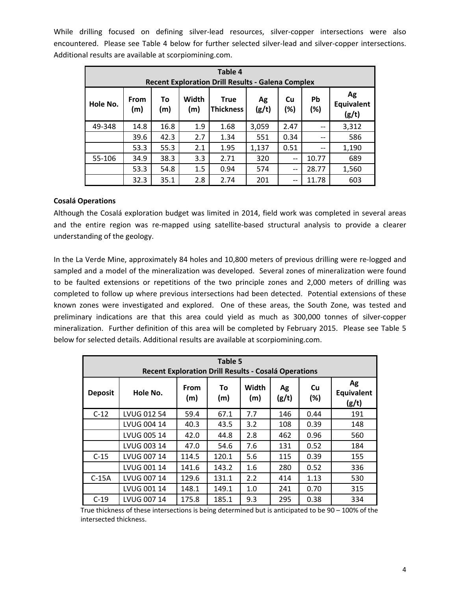While drilling focused on defining silver-lead resources, silver-copper intersections were also encountered. Please see Table 4 below for further selected silver‐lead and silver‐copper intersections. Additional results are available at scorpiomining.com.

| Table 4<br><b>Recent Exploration Drill Results - Galena Complex</b> |                    |           |              |                                 |             |              |                   |                                  |
|---------------------------------------------------------------------|--------------------|-----------|--------------|---------------------------------|-------------|--------------|-------------------|----------------------------------|
| Hole No.                                                            | <b>From</b><br>(m) | Τo<br>(m) | Width<br>(m) | <b>True</b><br><b>Thickness</b> | Ag<br>(g/t) | Cu<br>$(\%)$ | Pb<br>$(\%)$      | Ag<br><b>Equivalent</b><br>(g/t) |
| 49-348                                                              | 14.8               | 16.8      | 1.9          | 1.68                            | 3,059       | 2.47         | $- -$             | 3,312                            |
|                                                                     | 39.6               | 42.3      | 2.7          | 1.34                            | 551         | 0.34         | $-$               | 586                              |
|                                                                     | 53.3               | 55.3      | 2.1          | 1.95                            | 1,137       | 0.51         | $\qquad \qquad -$ | 1,190                            |
| 55-106                                                              | 34.9               | 38.3      | 3.3          | 2.71                            | 320         | $-$          | 10.77             | 689                              |
|                                                                     | 53.3               | 54.8      | 1.5          | 0.94                            | 574         | $-$          | 28.77             | 1,560                            |
|                                                                     | 32.3               | 35.1      | 2.8          | 2.74                            | 201         | $- -$        | 11.78             | 603                              |

### **Cosalá Operations**

Although the Cosalá exploration budget was limited in 2014, field work was completed in several areas and the entire region was re-mapped using satellite-based structural analysis to provide a clearer understanding of the geology.

In the La Verde Mine, approximately 84 holes and 10,800 meters of previous drilling were re‐logged and sampled and a model of the mineralization was developed. Several zones of mineralization were found to be faulted extensions or repetitions of the two principle zones and 2,000 meters of drilling was completed to follow up where previous intersections had been detected. Potential extensions of these known zones were investigated and explored. One of these areas, the South Zone, was tested and preliminary indications are that this area could yield as much as 300,000 tonnes of silver‐copper mineralization. Further definition of this area will be completed by February 2015. Please see Table 5 below for selected details. Additional results are available at scorpiomining.com.

| Table 5<br>Recent Exploration Drill Results - Cosalá Operations |             |                    |           |              |             |              |                           |
|-----------------------------------------------------------------|-------------|--------------------|-----------|--------------|-------------|--------------|---------------------------|
| <b>Deposit</b>                                                  | Hole No.    | <b>From</b><br>(m) | To<br>(m) | Width<br>(m) | Ag<br>(g/t) | Cu<br>$(\%)$ | Ag<br>Equivalent<br>(g/t) |
| $C-12$                                                          | LVUG 012 54 | 59.4               | 67.1      | 7.7          | 146         | 0.44         | 191                       |
|                                                                 | LVUG 004 14 | 40.3               | 43.5      | 3.2          | 108         | 0.39         | 148                       |
|                                                                 | LVUG 005 14 | 42.0               | 44.8      | 2.8          | 462         | 0.96         | 560                       |
|                                                                 | LVUG 003 14 | 47.0               | 54.6      | 7.6          | 131         | 0.52         | 184                       |
| $C-15$                                                          | LVUG 007 14 | 114.5              | 120.1     | 5.6          | 115         | 0.39         | 155                       |
|                                                                 | LVUG 001 14 | 141.6              | 143.2     | 1.6          | 280         | 0.52         | 336                       |
| $C-15A$                                                         | LVUG 007 14 | 129.6              | 131.1     | 2.2          | 414         | 1.13         | 530                       |
|                                                                 | LVUG 001 14 | 148.1              | 149.1     | 1.0          | 241         | 0.70         | 315                       |
| $C-19$                                                          | LVUG 007 14 | 175.8              | 185.1     | 9.3          | 295         | 0.38         | 334                       |

True thickness of these intersections is being determined but is anticipated to be  $90 - 100\%$  of the intersected thickness.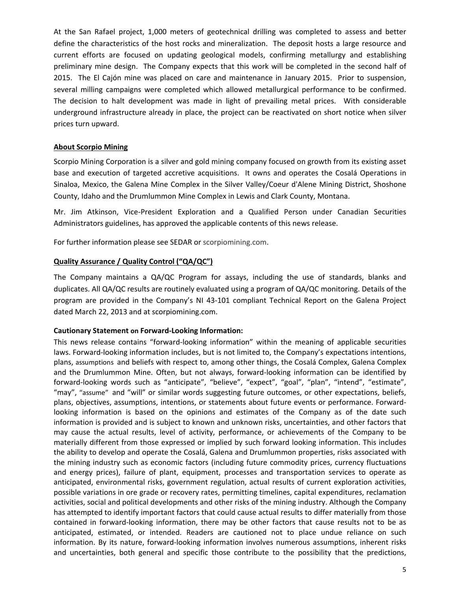At the San Rafael project, 1,000 meters of geotechnical drilling was completed to assess and better define the characteristics of the host rocks and mineralization. The deposit hosts a large resource and current efforts are focused on updating geological models, confirming metallurgy and establishing preliminary mine design. The Company expects that this work will be completed in the second half of 2015. The El Cajón mine was placed on care and maintenance in January 2015. Prior to suspension, several milling campaigns were completed which allowed metallurgical performance to be confirmed. The decision to halt development was made in light of prevailing metal prices. With considerable underground infrastructure already in place, the project can be reactivated on short notice when silver prices turn upward.

#### **About Scorpio Mining**

Scorpio Mining Corporation is a silver and gold mining company focused on growth from its existing asset base and execution of targeted accretive acquisitions. It owns and operates the Cosalá Operations in Sinaloa, Mexico, the Galena Mine Complex in the Silver Valley/Coeur d'Alene Mining District, Shoshone County, Idaho and the Drumlummon Mine Complex in Lewis and Clark County, Montana.

Mr. Jim Atkinson, Vice‐President Exploration and a Qualified Person under Canadian Securities Administrators guidelines, has approved the applicable contents of this news release.

For further information please see SEDAR or scorpiomining.com.

### **Quality Assurance / Quality Control ("QA/QC")**

The Company maintains a QA/QC Program for assays, including the use of standards, blanks and duplicates. All QA/QC results are routinely evaluated using a program of QA/QC monitoring. Details of the program are provided in the Company's NI 43‐101 compliant Technical Report on the Galena Project dated March 22, 2013 and at scorpiomining.com.

### **Cautionary Statement on Forward‐Looking Information:**

This news release contains "forward‐looking information" within the meaning of applicable securities laws. Forward-looking information includes, but is not limited to, the Company's expectations intentions, plans, assumptions and beliefs with respect to, among other things, the Cosalá Complex, Galena Complex and the Drumlummon Mine. Often, but not always, forward-looking information can be identified by forward-looking words such as "anticipate", "believe", "expect", "goal", "plan", "intend", "estimate", "may", "assume" and "will" or similar words suggesting future outcomes, or other expectations, beliefs, plans, objectives, assumptions, intentions, or statements about future events or performance. Forward‐ looking information is based on the opinions and estimates of the Company as of the date such information is provided and is subject to known and unknown risks, uncertainties, and other factors that may cause the actual results, level of activity, performance, or achievements of the Company to be materially different from those expressed or implied by such forward looking information. This includes the ability to develop and operate the Cosalá, Galena and Drumlummon properties, risks associated with the mining industry such as economic factors (including future commodity prices, currency fluctuations and energy prices), failure of plant, equipment, processes and transportation services to operate as anticipated, environmental risks, government regulation, actual results of current exploration activities, possible variations in ore grade or recovery rates, permitting timelines, capital expenditures, reclamation activities, social and political developments and other risks of the mining industry. Although the Company has attempted to identify important factors that could cause actual results to differ materially from those contained in forward‐looking information, there may be other factors that cause results not to be as anticipated, estimated, or intended. Readers are cautioned not to place undue reliance on such information. By its nature, forward‐looking information involves numerous assumptions, inherent risks and uncertainties, both general and specific those contribute to the possibility that the predictions,